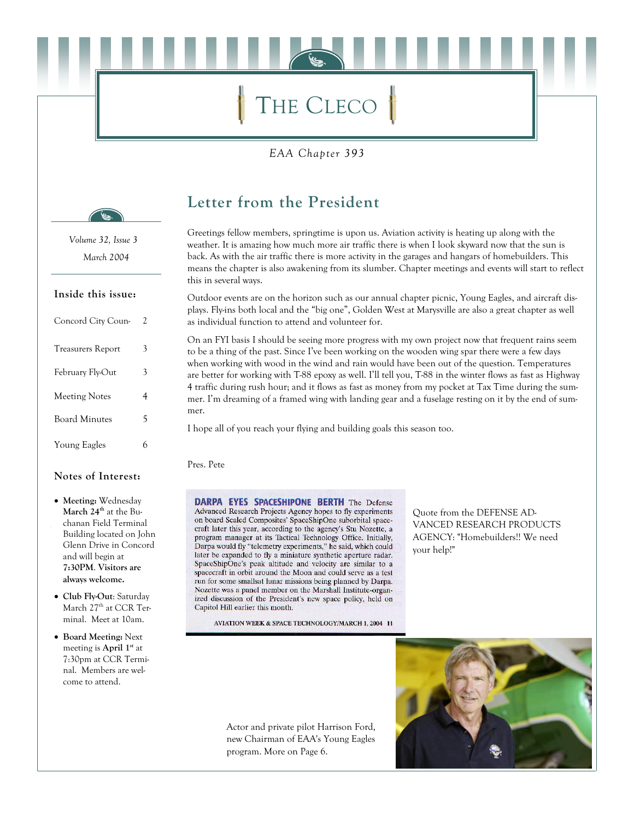# THE CLECO

EAA Chapter 393



Volume 32, Issue 3 March 2004

#### Inside this issue:

| Concord City Coun-       | 2 |
|--------------------------|---|
| <b>Treasurers Report</b> | 3 |
| February Fly-Out         | 3 |
| <b>Meeting Notes</b>     | 4 |
| <b>Board Minutes</b>     | 5 |
| Young Eagles             | 6 |

#### Notes of Interest:

- Meeting: Wednesday March 24<sup>th</sup> at the Buchanan Field Terminal Building located on John Glenn Drive in Concord and will begin at 7:30PM. Visitors are always welcome.
- Club Fly-Out: Saturday March 27<sup>th</sup> at CCR Terminal. Meet at 10am.
- Board Meeting: Next meeting is April 1<sup>st</sup> at 7:30pm at CCR Terminal. Members are welcome to attend.

### Letter from the President

Greetings fellow members, springtime is upon us. Aviation activity is heating up along with the weather. It is amazing how much more air traffic there is when I look skyward now that the sun is back. As with the air traffic there is more activity in the garages and hangars of homebuilders. This means the chapter is also awakening from its slumber. Chapter meetings and events will start to reflect this in several ways.

Outdoor events are on the horizon such as our annual chapter picnic, Young Eagles, and aircraft displays. Fly-ins both local and the "big one", Golden West at Marysville are also a great chapter as well as individual function to attend and volunteer for.

On an FYI basis I should be seeing more progress with my own project now that frequent rains seem to be a thing of the past. Since I've been working on the wooden wing spar there were a few days when working with wood in the wind and rain would have been out of the question. Temperatures are better for working with T-88 epoxy as well. I'll tell you, T-88 in the winter flows as fast as Highway 4 traffic during rush hour; and it flows as fast as money from my pocket at Tax Time during the summer. I'm dreaming of a framed wing with landing gear and a fuselage resting on it by the end of summer.

I hope all of you reach your flying and building goals this season too.

Pres. Pete

DARPA EYES SPACESHIPONE BERTH The Defense Advanced Research Projects Agency hopes to fly experiments on board Scaled Composites' SpaceShipOne suborbital spacecraft later this year, according to the agency's Stu Nozette, a program manager at its Tactical Technology Office. Initially, Darpa would fly "telemetry experiments," he said, which could later be expanded to fly a miniature synthetic aperture radar. SpaceShipOne's peak altitude and velocity are similar to a spacecraft in orbit around the Moon and could serve as a test run for some smallsat lunar missions being planned by Darpa. Nozette was a panel member on the Marshall Institute-organized discussion of the President's new space policy, held on Capitol Hill earlier this month.

AVIATION WEEK & SPACE TECHNOLOGY/MARCH 1, 2004 11

Quote from the DEFENSE AD-VANCED RESEARCH PRODUCTS AGENCY: "Homebuilders!! We need your help!"

Actor and private pilot Harrison Ford, new Chairman of EAA's Young Eagles program. More on Page 6.

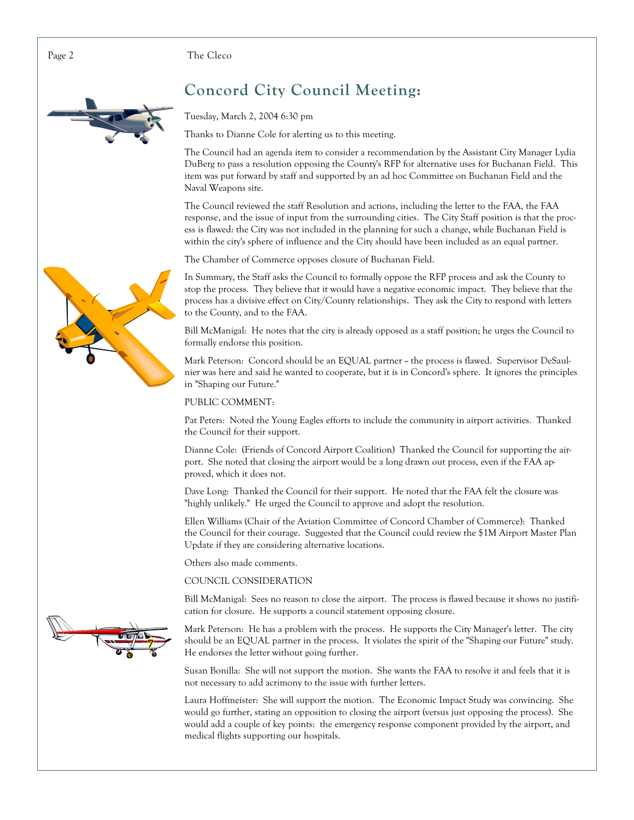The Cleco



### **Concord City Council Meeting:**

Tuesday, March 2, 2004 6:30 pm

Thanks to Dianne Cole for alerting us to this meeting.

The Council had an agenda item to consider a recommendation by the Assistant City Manager Lydia DuBerg to pass a resolution opposing the County's RFP for alternative uses for Buchanan Field. This item was put forward by staff and supported by an ad hoc Committee on Buchanan Field and the Naval Weapons site.

The Council reviewed the staff Resolution and actions, including the letter to the FAA, the FAA response, and the issue of input from the surrounding cities. The City Staff position is that the process is flawed: the City was not included in the planning for such a change, while Buchanan Field is within the city's sphere of influence and the City should have been included as an equal partner.

The Chamber of Commerce opposes closure of Buchanan Field.

In Summary, the Staff asks the Council to formally oppose the RFP process and ask the County to stop the process. They believe that it would have a negative economic impact. They believe that the process has a divisive effect on City/County relationships. They ask the City to respond with letters to the County, and to the FAA.

Bill McManigal: He notes that the city is already opposed as a staff position; he urges the Council to formally endorse this position.

Mark Peterson: Concord should be an EQUAL partner ~ the process is flawed. Supervisor DeSaulnier was here and said he wanted to cooperate, but it is in Concord's sphere. It ignores the principles in "Shaping our Future."

#### PUBLIC COMMENT:

Pat Peters: Noted the Young Eagles efforts to include the community in airport activities. Thanked the Council for their support.

Dianne Cole: (Friends of Concord Airport Coalition) Thanked the Council for supporting the airport. She noted that closing the airport would be a long drawn out process, even if the FAA approved, which it does not.

Dave Long: Thanked the Council for their support. He noted that the FAA felt the closure was "highly unlikely." He urged the Council to approve and adopt the resolution.

Ellen Williams (Chair of the Aviation Committee of Concord Chamber of Commerce): Thanked the Council for their courage. Suggested that the Council could review the \$1M Airport Master Plan Update if they are considering alternative locations.

Others also made comments.

#### COUNCIL CONSIDERATION

Bill McManigal: Sees no reason to close the airport. The process is flawed because it shows no justification for closure. He supports a council statement opposing closure.

Mark Peterson: He has a problem with the process. He supports the City Manager's letter. The city should be an EQUAL partner in the process. It violates the spirit of the "Shaping our Future" study. He endorses the letter without going further.

Susan Bonilla: She will not support the motion. She wants the FAA to resolve it and feels that it is not necessary to add acrimony to the issue with further letters.

Laura Hoffmeister: She will support the motion. The Economic Impact Study was convincing. She would go further, stating an opposition to closing the airport (versus just opposing the process). She would add a couple of key points: the emergency response component provided by the airport, and medical flights supporting our hospitals.



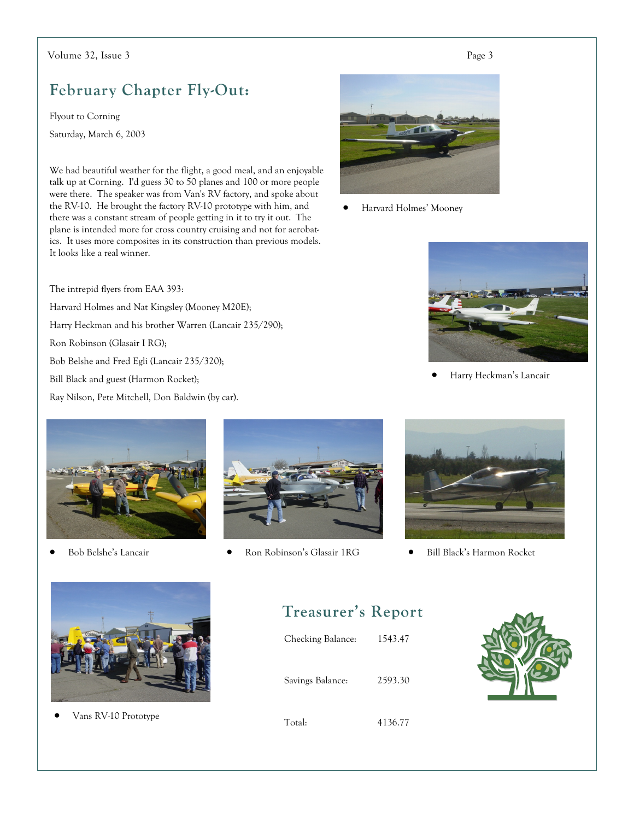#### Volume 32, Issue 3

### **February Chapter Fly-Out:**

Flyout to Corning Saturday, March 6, 2003

We had beautiful weather for the flight, a good meal, and an enjoyable talk up at Corning. I'd guess 30 to 50 planes and 100 or more people were there. The speaker was from Van's RV factory, and spoke about the RV-10. He brought the factory RV-10 prototype with him, and there was a constant stream of people getting in it to try it out. The plane is intended more for cross country cruising and not for aerobatics. It uses more composites in its construction than previous models. It looks like a real winner.

The intrepid flyers from EAA 393: Harvard Holmes and Nat Kingsley (Mooney M20E); Harry Heckman and his brother Warren (Lancair 235/290); Ron Robinson (Glasair I RG); Bob Belshe and Fred Egli (Lancair 235/320); Bill Black and guest (Harmon Rocket); Ray Nilson, Pete Mitchell, Don Baldwin (by car).



Harvard Holmes' Mooney  $\bullet$ 



Harry Heckman's Lancair



Bob Belshe's Lancair



Ron Robinson's Glasair 1RG  $\bullet$ 



Bill Black's Harmon Rocket  $\bullet$ 



Vans RV-10 Prototype

#### **Treasurer's Report**

| Checking Balance: | 1543.47 |
|-------------------|---------|
| Savings Balance:  | 2593.30 |

Total:

4136.77

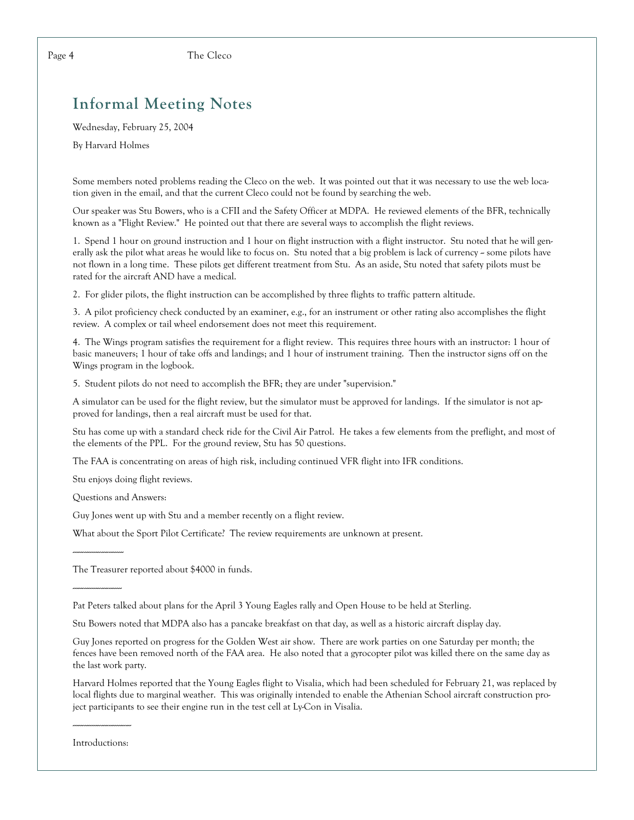### **Informal Meeting Notes**

Wednesday, February 25, 2004

By Harvard Holmes

Some members noted problems reading the Cleco on the web. It was pointed out that it was necessary to use the web location given in the email, and that the current Cleco could not be found by searching the web.

Our speaker was Stu Bowers, who is a CFII and the Safety Officer at MDPA. He reviewed elements of the BFR, technically known as a "Flight Review." He pointed out that there are several ways to accomplish the flight reviews.

1. Spend 1 hour on ground instruction and 1 hour on flight instruction with a flight instructor. Stu noted that he will generally ask the pilot what areas he would like to focus on. Stu noted that a big problem is lack of currency ~ some pilots have not flown in a long time. These pilots get different treatment from Stu. As an aside, Stu noted that safety pilots must be rated for the aircraft AND have a medical.

2. For glider pilots, the flight instruction can be accomplished by three flights to traffic pattern altitude.

3. A pilot proficiency check conducted by an examiner, e.g., for an instrument or other rating also accomplishes the flight review. A complex or tail wheel endorsement does not meet this requirement.

4. The Wings program satisfies the requirement for a flight review. This requires three hours with an instructor: 1 hour of basic maneuvers; 1 hour of take offs and landings; and 1 hour of instrument training. Then the instructor signs off on the Wings program in the logbook.

5. Student pilots do not need to accomplish the BFR; they are under "supervision."

A simulator can be used for the flight review, but the simulator must be approved for landings. If the simulator is not approved for landings, then a real aircraft must be used for that.

Stu has come up with a standard check ride for the Civil Air Patrol. He takes a few elements from the preflight, and most of the elements of the PPL. For the ground review, Stu has 50 questions.

The FAA is concentrating on areas of high risk, including continued VFR flight into IFR conditions.

Stu enjoys doing flight reviews.

Questions and Answers:

Guy Jones went up with Stu and a member recently on a flight review.

What about the Sport Pilot Certificate? The review requirements are unknown at present.

The Treasurer reported about \$4000 in funds.

Pat Peters talked about plans for the April 3 Young Eagles rally and Open House to be held at Sterling.

Stu Bowers noted that MDPA also has a pancake breakfast on that day, as well as a historic aircraft display day.

Guy Jones reported on progress for the Golden West air show. There are work parties on one Saturday per month; the fences have been removed north of the FAA area. He also noted that a gyrocopter pilot was killed there on the same day as the last work party.

Harvard Holmes reported that the Young Eagles flight to Visalia, which had been scheduled for February 21, was replaced by local flights due to marginal weather. This was originally intended to enable the Athenian School aircraft construction project participants to see their engine run in the test cell at Ly-Con in Visalia.

Introductions: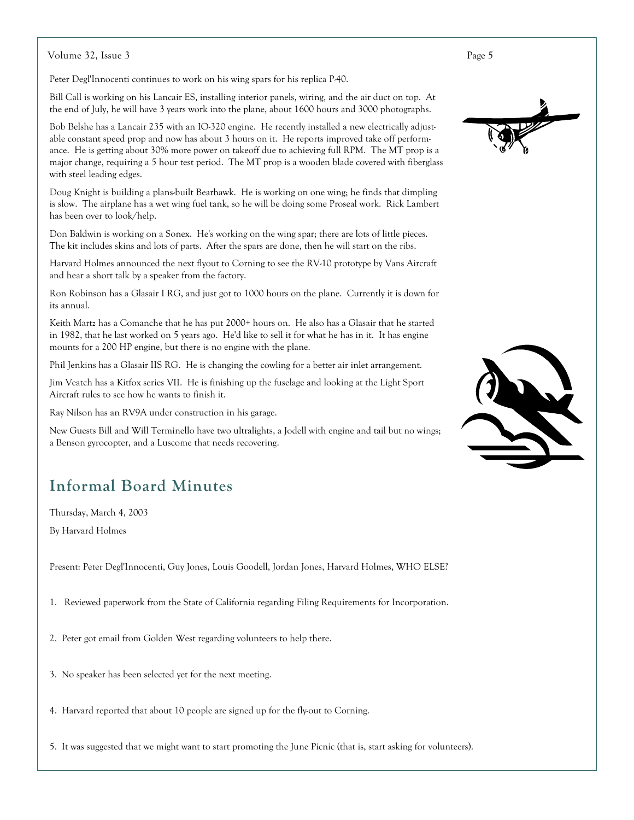Volume 32, Issue 3

Peter Degl'Innocenti continues to work on his wing spars for his replica P-40.

Bill Call is working on his Lancair ES, installing interior panels, wiring, and the air duct on top. At the end of July, he will have 3 years work into the plane, about 1600 hours and 3000 photographs.

Bob Belshe has a Lancair 235 with an IO-320 engine. He recently installed a new electrically adjustable constant speed prop and now has about 3 hours on it. He reports improved take off performance. He is getting about 30% more power on takeoff due to achieving full RPM. The MT prop is a major change, requiring a 5 hour test period. The MT prop is a wooden blade covered with fiberglass with steel leading edges.

Doug Knight is building a plans-built Bearhawk. He is working on one wing; he finds that dimpling is slow. The airplane has a wet wing fuel tank, so he will be doing some Proseal work. Rick Lambert has been over to look/help.

Don Baldwin is working on a Sonex. He's working on the wing spar; there are lots of little pieces. The kit includes skins and lots of parts. After the spars are done, then he will start on the ribs.

Harvard Holmes announced the next flyout to Corning to see the RV-10 prototype by Vans Aircraft and hear a short talk by a speaker from the factory.

Ron Robinson has a Glasair I RG, and just got to 1000 hours on the plane. Currently it is down for its annual.

Keith Martz has a Comanche that he has put 2000+ hours on. He also has a Glasair that he started in 1982, that he last worked on 5 years ago. He'd like to sell it for what he has in it. It has engine mounts for a 200 HP engine, but there is no engine with the plane.

Phil Jenkins has a Glasair IIS RG. He is changing the cowling for a better air inlet arrangement.

Jim Veatch has a Kitfox series VII. He is finishing up the fuselage and looking at the Light Sport Aircraft rules to see how he wants to finish it.

Ray Nilson has an RV9A under construction in his garage.

New Guests Bill and Will Terminello have two ultralights, a Jodell with engine and tail but no wings; a Benson gyrocopter, and a Luscome that needs recovering.

### **Informal Board Minutes**

Thursday, March 4, 2003

By Harvard Holmes

Present: Peter Degl'Innocenti, Guy Jones, Louis Goodell, Jordan Jones, Harvard Holmes, WHO ELSE?

1. Reviewed paperwork from the State of California regarding Filing Requirements for Incorporation.

2. Peter got email from Golden West regarding volunteers to help there.

- 3. No speaker has been selected yet for the next meeting.
- 4. Harvard reported that about 10 people are signed up for the fly-out to Corning.

5. It was suggested that we might want to start promoting the June Picnic (that is, start asking for volunteers).



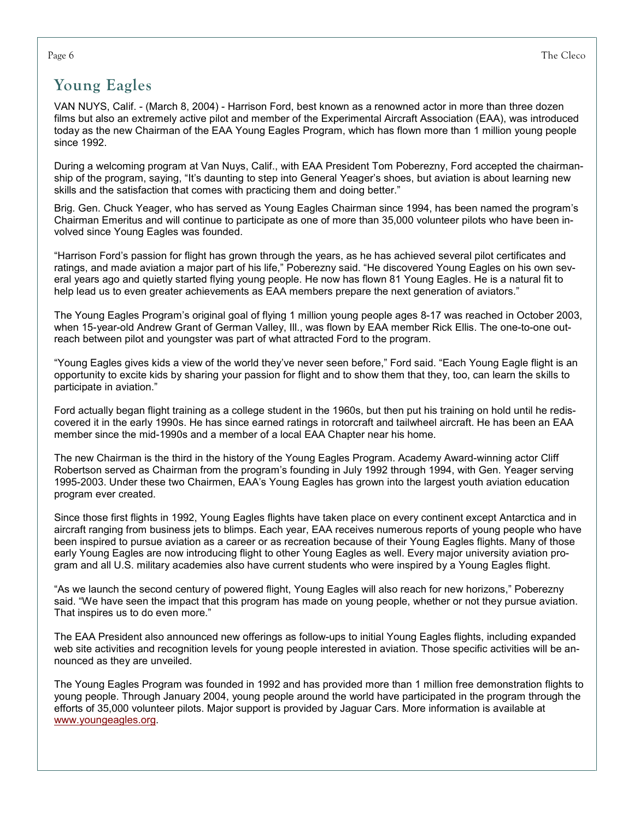### **Young Eagles**

VAN NUYS, Calif. - (March 8, 2004) - Harrison Ford, best known as a renowned actor in more than three dozen films but also an extremely active pilot and member of the Experimental Aircraft Association (EAA), was introduced today as the new Chairman of the EAA Young Eagles Program, which has flown more than 1 million young people since 1992.

During a welcoming program at Van Nuys, Calif., with EAA President Tom Poberezny, Ford accepted the chairmanship of the program, saving, "It's daunting to step into General Yeager's shoes, but aviation is about learning new skills and the satisfaction that comes with practicing them and doing better."

Brig. Gen. Chuck Yeager, who has served as Young Eagles Chairman since 1994, has been named the program's Chairman Emeritus and will continue to participate as one of more than 35,000 volunteer pilots who have been involved since Young Eagles was founded.

"Harrison Ford's passion for flight has grown through the years, as he has achieved several pilot certificates and ratings, and made aviation a major part of his life," Poberezny said. "He discovered Young Eagles on his own several years ago and quietly started flying young people. He now has flown 81 Young Eagles. He is a natural fit to help lead us to even greater achievements as EAA members prepare the next generation of aviators."

The Young Eagles Program's original goal of flying 1 million young people ages 8-17 was reached in October 2003, when 15-year-old Andrew Grant of German Valley, III., was flown by EAA member Rick Ellis. The one-to-one outreach between pilot and youngster was part of what attracted Ford to the program.

"Young Eagles gives kids a view of the world they've never seen before," Ford said. "Each Young Eagle flight is an opportunity to excite kids by sharing your passion for flight and to show them that they, too, can learn the skills to participate in aviation."

Ford actually began flight training as a college student in the 1960s, but then put his training on hold until he rediscovered it in the early 1990s. He has since earned ratings in rotorcraft and tailwheel aircraft. He has been an EAA member since the mid-1990s and a member of a local EAA Chapter near his home.

The new Chairman is the third in the history of the Young Eagles Program. Academy Award-winning actor Cliff Robertson served as Chairman from the program's founding in July 1992 through 1994, with Gen. Yeager serving 1995-2003. Under these two Chairmen, EAA's Young Eagles has grown into the largest youth aviation education program ever created.

Since those first flights in 1992, Young Eagles flights have taken place on every continent except Antarctica and in aircraft ranging from business jets to blimps. Each year, EAA receives numerous reports of young people who have been inspired to pursue aviation as a career or as recreation because of their Young Eagles flights. Many of those early Young Eagles are now introducing flight to other Young Eagles as well. Every major university aviation program and all U.S. military academies also have current students who were inspired by a Young Eagles flight.

"As we launch the second century of powered flight, Young Eagles will also reach for new horizons," Poberezny said. "We have seen the impact that this program has made on young people, whether or not they pursue aviation. That inspires us to do even more."

The EAA President also announced new offerings as follow-ups to initial Young Eagles flights, including expanded web site activities and recognition levels for young people interested in aviation. Those specific activities will be announced as they are unveiled.

The Young Eagles Program was founded in 1992 and has provided more than 1 million free demonstration flights to young people. Through January 2004, young people around the world have participated in the program through the efforts of 35,000 volunteer pilots. Major support is provided by Jaguar Cars. More information is available at www.youngeagles.org.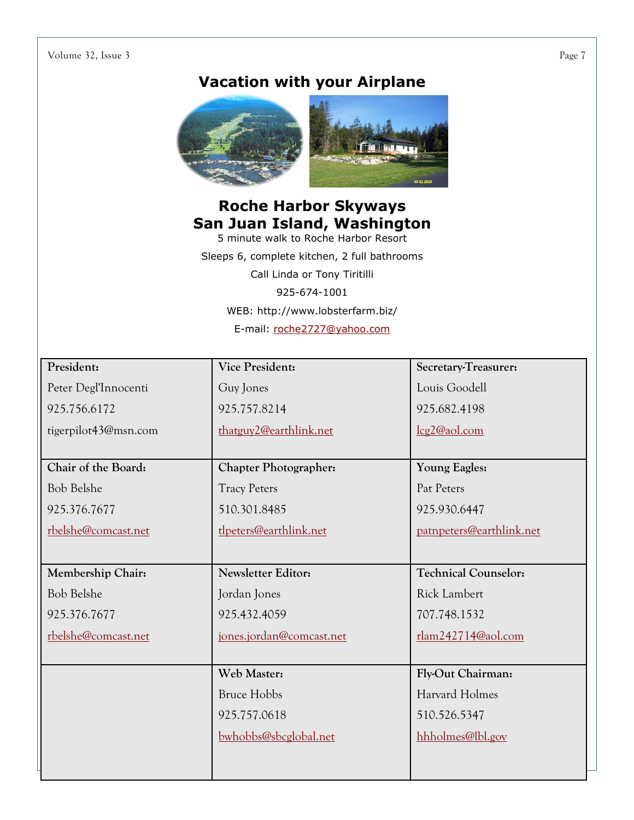#### Volume 32, Issue 3

### **Vacation with your Airplane**



## **Roche Harbor Skyways San Juan Island, Washington**<br>5 minute walk to Roche Harbor Resort

Sleeps 6, complete kitchen, 2 full bathrooms Call Linda or Tony Tiritilli 925-674-1001 WEB: http://www.lobsterfarm.biz/ E-mail: roche2727@yahoo.com

| President:           | <b>Vice President:</b>       | Secretary-Treasurer:        |
|----------------------|------------------------------|-----------------------------|
| Peter Degl'Innocenti | Guy Jones                    | Louis Goodell               |
| 925.756.6172         | 925.757.8214                 | 925.682.4198                |
| tigerpilot43@msn.com | thatguy2@earthlink.net       | lcg2@aol.com                |
|                      |                              |                             |
| Chair of the Board:  | <b>Chapter Photographer:</b> | <b>Young Eagles:</b>        |
| <b>Bob Belshe</b>    | <b>Tracy Peters</b>          | Pat Peters                  |
| 925.376.7677         | 510.301.8485                 | 925.930.6447                |
| rbelshe@comcast.net  | tlpeters@earthlink.net       | patnpeters@earthlink.net    |
|                      |                              |                             |
| Membership Chair:    | Newsletter Editor:           | <b>Technical Counselor:</b> |
|                      |                              |                             |
| <b>Bob Belshe</b>    | Jordan Jones                 | Rick Lambert                |
| 925.376.7677         | 925.432.4059                 | 707.748.1532                |
| rbelshe@comcast.net  | jones.jordan@comcast.net     | rlam242714@aol.com          |
|                      |                              |                             |
|                      | Web Master:                  | Fly-Out Chairman:           |
|                      | <b>Bruce Hobbs</b>           | Harvard Holmes              |
|                      | 925.757.0618                 | 510.526.5347                |
|                      | bwhobbs@sbcglobal.net        | hhholmes@lbl.gov            |
|                      |                              |                             |